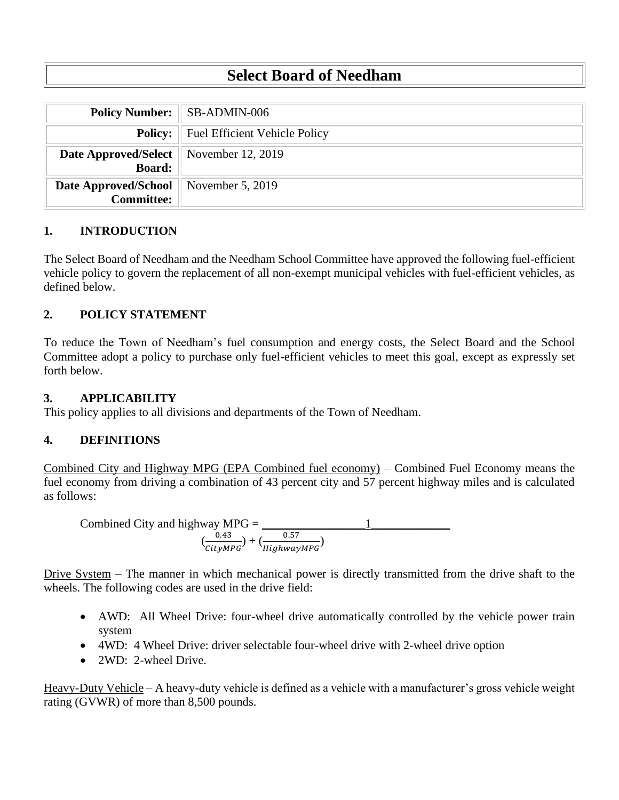# **Select Board of Needham**

|                                                                  | <b>Policy Number:</b> SB-ADMIN-006           |
|------------------------------------------------------------------|----------------------------------------------|
|                                                                  | <b>Policy:</b> Fuel Efficient Vehicle Policy |
| <b>Date Approved/Select</b>   November 12, 2019<br><b>Board:</b> |                                              |
| <b>Date Approved/School</b><br><b>Committee:</b>                 | November 5, 2019                             |

### **1. INTRODUCTION**

The Select Board of Needham and the Needham School Committee have approved the following fuel-efficient vehicle policy to govern the replacement of all non-exempt municipal vehicles with fuel-efficient vehicles, as defined below.

## **2. POLICY STATEMENT**

To reduce the Town of Needham's fuel consumption and energy costs, the Select Board and the School Committee adopt a policy to purchase only fuel-efficient vehicles to meet this goal, except as expressly set forth below.

#### **3. APPLICABILITY**

This policy applies to all divisions and departments of the Town of Needham.

#### **4. DEFINITIONS**

Combined City and Highway MPG (EPA Combined fuel economy) – Combined Fuel Economy means the fuel economy from driving a combination of 43 percent city and 57 percent highway miles and is calculated as follows:

Combined City and highway MPC = 
$$
\frac{0.43}{\left(\frac{0.43}{CityMPG}\right) + \left(\frac{0.57}{HighwayMPG}\right)}
$$

Drive System – The manner in which mechanical power is directly transmitted from the drive shaft to the wheels. The following codes are used in the drive field:

- AWD: All Wheel Drive: four-wheel drive automatically controlled by the vehicle power train system
- 4WD: 4 Wheel Drive: driver selectable four-wheel drive with 2-wheel drive option
- 2WD: 2-wheel Drive.

Heavy-Duty Vehicle – A heavy-duty vehicle is defined as a vehicle with a manufacturer's gross vehicle weight rating (GVWR) of more than 8,500 pounds.